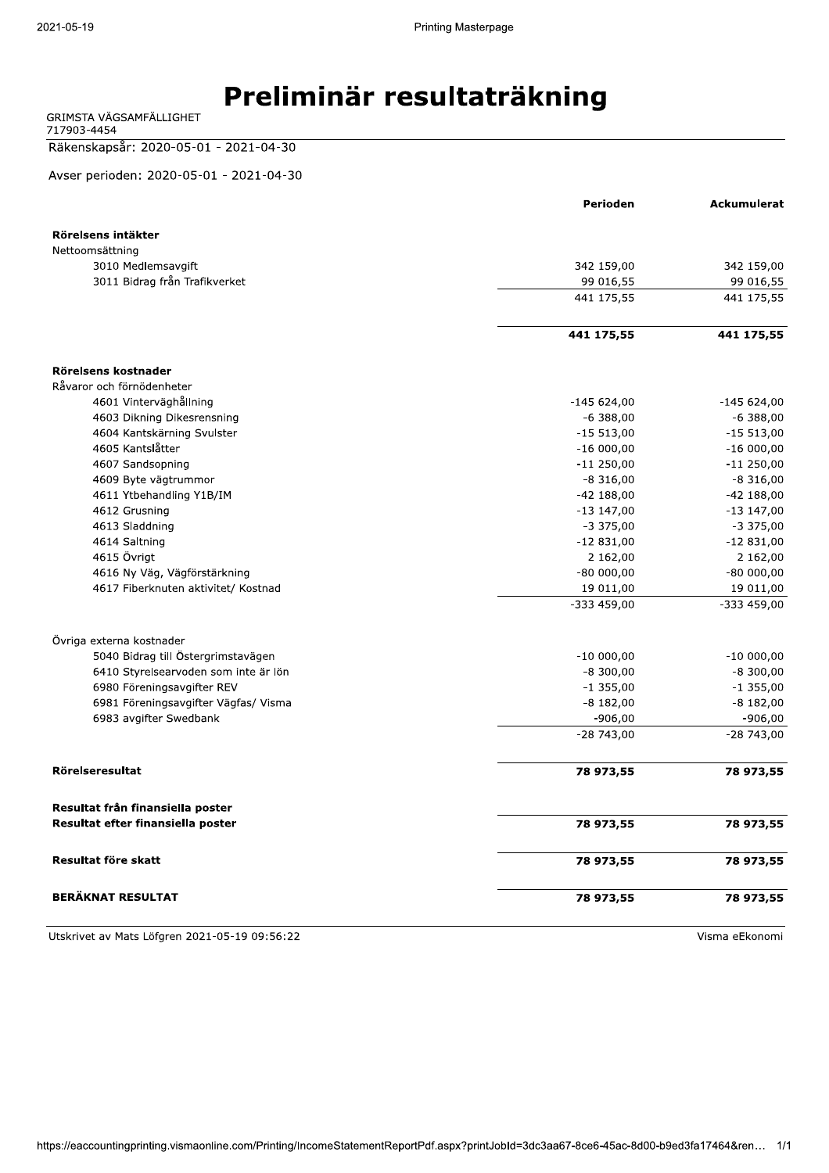# EFERIMING THE Preliminar resultaträkning

717903-4454

#### Räkenskapsår: 2020-05-01 - 2021-04-30

Avser perioden: 2020-05-01 - 2021-04-30

|                                      | Perioden     | <b>Ackumulerat</b> |
|--------------------------------------|--------------|--------------------|
|                                      |              |                    |
| Rörelsens intäkter                   |              |                    |
| Nettoomsättning                      |              |                    |
| 3010 Medlemsavgift                   | 342 159,00   | 342 159,00         |
| 3011 Bidrag från Trafikverket        | 99 016,55    | 99 016,55          |
|                                      | 441 175,55   | 441 175,55         |
|                                      | 441 175,55   | 441 175,55         |
| Rörelsens kostnader                  |              |                    |
| Råvaror och förnödenheter            |              |                    |
| 4601 Vinterväghållning               | $-145624,00$ | $-145624,00$       |
| 4603 Dikning Dikesrensning           | $-6388,00$   | $-6,388,00$        |
| 4604 Kantskärning Svulster           | $-15513,00$  | $-15513,00$        |
| 4605 Kantslåtter                     | $-16000,00$  | $-16000,00$        |
| 4607 Sandsopning                     | $-11250,00$  | $-11250,00$        |
| 4609 Byte vägtrummor                 | $-8316,00$   | $-8316,00$         |
| 4611 Ytbehandling Y1B/IM             | $-42$ 188,00 | $-42$ 188,00       |
| 4612 Grusning                        | $-13$ 147,00 | $-13$ 147,00       |
| 4613 Sladdning                       | $-3375,00$   | $-3375,00$         |
| 4614 Saltning                        | $-12831,00$  | $-12831,00$        |
| 4615 Övrigt                          | 2 162,00     | 2 162,00           |
| 4616 Ny Vag, Vagförstärkning         | $-80000,00$  | $-80000,00$        |
| 4617 Fiberknuten aktivitet/ Kostnad  | 19 011,00    | 19 011,00          |
|                                      | -333 459,00  | $-333459,00$       |
| Övriga externa kostnader             |              |                    |
| 5040 Bidrag till Östergrimstavägen   | $-10000,00$  | $-10000,00$        |
| 6410 Styrelsearvoden som inte är lön | $-8,300,00$  | $-8,300,00$        |
| 6980 Föreningsavgifter REV           | $-1355,00$   | $-1$ 355,00        |
| 6981 Föreningsavgifter Vägfas/ Visma | $-8182,00$   | $-8182,00$         |
| 6983 avgifter Swedbank               | $-906,00$    | $-906,00$          |
|                                      | $-28743,00$  | $-28743,00$        |
| Rörelseresultat                      | 78 973,55    | 78 973,55          |
|                                      |              |                    |
| Resultat från finansiella poster     |              |                    |
| Resultat efter finansiella poster    | 78 973,55    | 78 973,55          |
| Resultat före skatt                  | 78 973,55    | 78 973,55          |
| <b>BERÄKNAT RESULTAT</b>             | 78 973,55    | 78 973,55          |

Utskrivet av Mats Löfgren 2021-05-19 09:56:22 and the state of the state of the Visma eEkonomi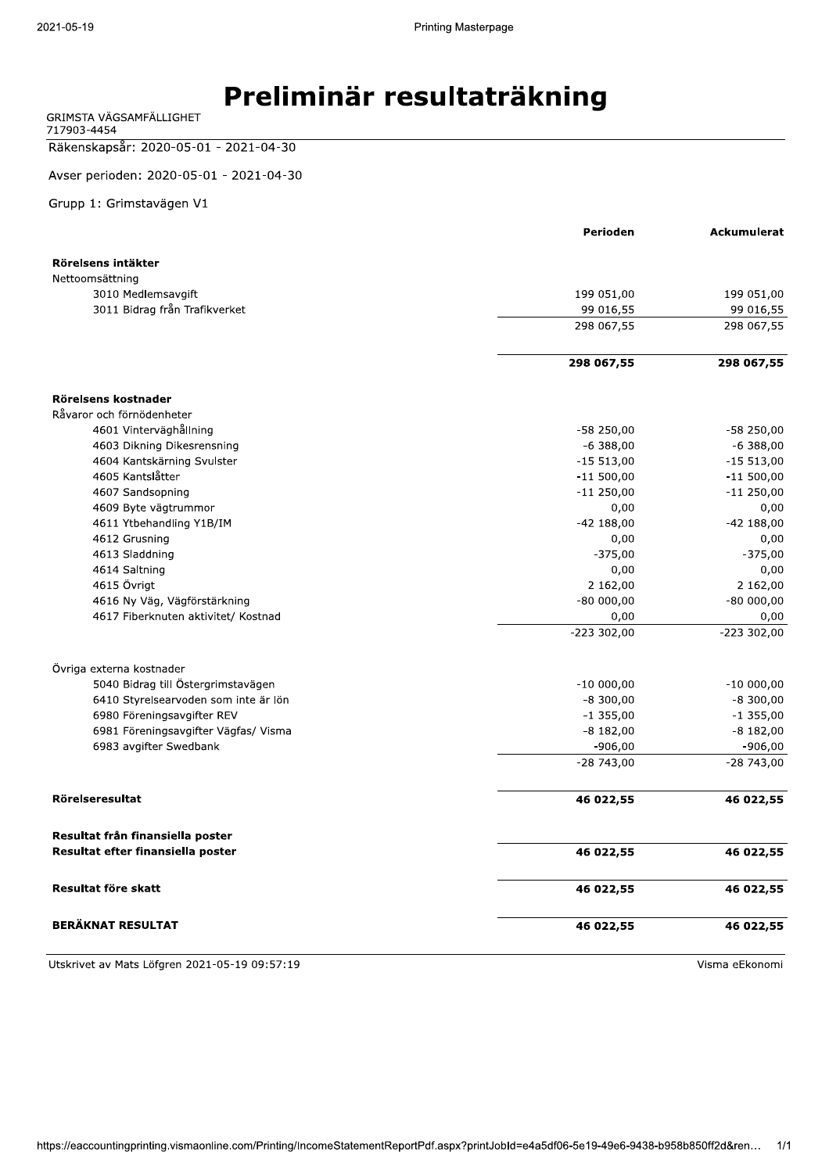GRIMSTA VÄGSAMFÄLLIGHET 717903-4454

Räkenskapsår: 2020-05-01 - 2021-04-30

Avser perioden: 2020-05-01 - 2021-04-30

Grupp 1: Grimstavägen V1

|                                      | Perioden                 | Ackumulerat  |
|--------------------------------------|--------------------------|--------------|
| Rörelsens intäkter                   |                          |              |
| Nettoomsättning                      |                          |              |
| 3010 Medlemsavgift                   | 199 051,00               | 199 051,00   |
| 3011 Bidrag från Trafikverket        | 99 016,55                | 99 016,55    |
|                                      | 298 067,55               | 298 067,55   |
|                                      |                          |              |
|                                      | 298 067,55               | 298 067,55   |
|                                      |                          |              |
| Rörelsens kostnader                  |                          |              |
| Råvaror och förnödenheter            |                          |              |
| 4601 Vinterväghållning               | $-58250,00$              | $-58250,00$  |
| 4603 Dikning Dikesrensning           | $-6388,00$               | $-6,388,00$  |
| 4604 Kantskärning Svulster           | $-15513,00$              | $-15513,00$  |
| 4605 Kantslåtter                     | $-11500,00$              | $-11500,00$  |
| 4607 Sandsopning                     | $-11250,00$              | $-11250,00$  |
| 4609 Byte vägtrummor                 | 0,00                     | 0,00         |
| 4611 Ytbehandling Y1B/IM             | $-42$ 188,00             | $-42$ 188,00 |
| 4612 Grusning                        | 0,00                     | 0,00         |
| 4613 Sladdning                       | $-375,00$                | $-375,00$    |
| 4614 Saltning                        | 0,00                     | 0,00         |
| 4615 Övrigt                          | 2 162,00                 | 2 162,00     |
| 4616 Ny Väg, Vägförstärkning         | $-80000,00$              | $-80000,00$  |
| 4617 Fiberknuten aktivitet/ Kostnad  | 0,00                     | 0,00         |
|                                      | $-223302,00$             | $-223302,00$ |
| Övriga externa kostnader             |                          |              |
| 5040 Bidrag till Östergrimstavägen   | $-10000,00$              | $-10000,00$  |
| 6410 Styrelsearvoden som inte är lön | $-8,300,00$              | $-8,300,00$  |
| 6980 Föreningsavgifter REV           | $-1355,00$               | $-1355,00$   |
| 6981 Föreningsavgifter Vägfas/ Visma | $-8182,00$               | $-8$ 182,00  |
| 6983 avgifter Swedbank               |                          | $-906,00$    |
|                                      | $-906,00$<br>$-28743,00$ | $-28743,00$  |
|                                      |                          |              |
| Rörelseresultat                      | 46 022,55                | 46 022,55    |
| Resultat från finansiella poster     |                          |              |
| Resultat efter finansiella poster    | 46 022,55                | 46 022,55    |
| Resultat före skatt                  | 46 022,55                | 46 022,55    |
| <b>BERÄKNAT RESULTAT</b>             | 46 022,55                | 46 022,55    |
|                                      |                          |              |

Utskrivet av Mats Löfgren 2021-05-19 09:57:19

Visma eEkonomi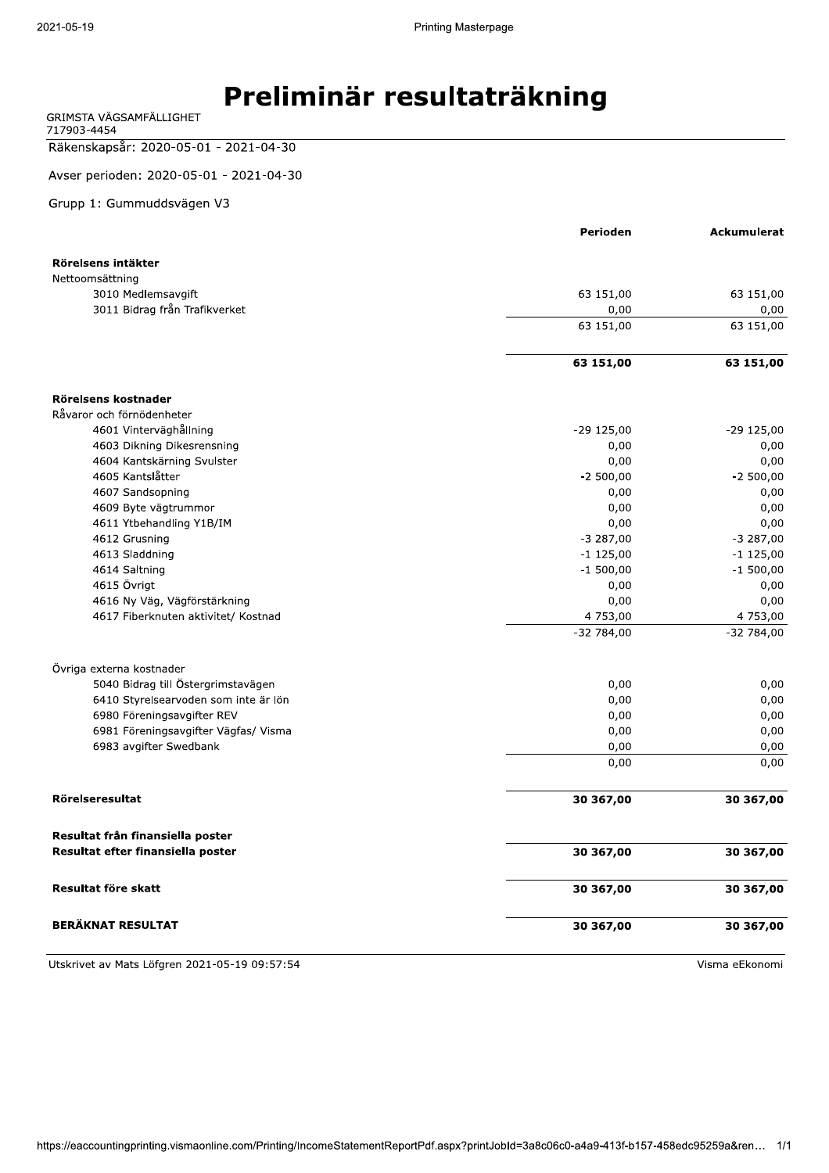| GRIMSTA VAGSAMFALLIGHET |  |
|-------------------------|--|
| 717903-4454             |  |

#### 828069206.ps2.io2020-05-01 - 2021-04-30

Avser perioden: 2020-05-01 - 2021-04-30

#### Grupp 1: Gummuddsvägen V3

|                                       | Perioden          | <b>Ackumulerat</b> |
|---------------------------------------|-------------------|--------------------|
|                                       |                   |                    |
| Rörelsens intäkter                    |                   |                    |
| Nettoomsättning<br>3010 Medlemsavgift | 63 151,00         | 63 151,00          |
| 3011 Bidrag från Trafikverket         |                   | 0,00               |
|                                       | 0,00<br>63 151,00 | 63 151,00          |
|                                       |                   |                    |
|                                       | 63 151,00         | 63 151,00          |
|                                       |                   |                    |
| Rörelsens kostnader                   |                   |                    |
| Råvaror och förnödenheter             |                   |                    |
| 4601 Vinterväghållning                | $-29$ 125,00      | $-29$ 125,00       |
| 4603 Dikning Dikesrensning            | 0,00              | 0,00               |
| 4604 Kantskärning Svulster            | 0,00              | 0,00               |
| 4605 Kantslåtter                      | $-2500,00$        | $-2500,00$         |
| 4607 Sandsopning                      | 0,00              | 0,00               |
| 4609 Byte vägtrummor                  | 0,00              | 0,00               |
| 4611 Ytbehandling Y1B/IM              | 0,00              | 0,00               |
| 4612 Grusning                         | $-3287,00$        | $-3287,00$         |
| 4613 Sladdning                        | $-1$ 125,00       | $-1$ 125,00        |
| 4614 Saltning                         | $-1500,00$        | $-1,500,00$        |
| 4615 Övrigt                           | 0,00              | 0,00               |
| 4616 Ny Väg, Vägförstärkning          | 0,00              | 0,00               |
| 4617 Fiberknuten aktivitet/ Kostnad   | 4 753,00          | 4 753,00           |
|                                       | $-32784,00$       | $-32784,00$        |
| Övriga externa kostnader              |                   |                    |
| 5040 Bidrag till Östergrimstavägen    | 0,00              | 0,00               |
| 6410 Styrelsearvoden som inte är lön  | 0,00              | 0,00               |
| 6980 Föreningsavgifter REV            | 0,00              | 0,00               |
| 6981 Föreningsavgifter Vägfas/ Visma  | 0,00              | 0,00               |
| 6983 avgifter Swedbank                | 0,00              | 0,00               |
|                                       | 0,00              | 0,00               |
|                                       |                   |                    |
| <b>Rörelseresultat</b>                | 30 367,00         | 30 367,00          |
| Resultat från finansiella poster      |                   |                    |
| Resultat efter finansiella poster     | 30 367,00         | 30 367,00          |
| Resultat före skatt                   | 30 367,00         | 30 367,00          |
| <b>BERÄKNAT RESULTAT</b>              | 30 367,00         | 30 367,00          |

Utskrivet av Mats Löfgren 2021-05-19 09:57:54 aussi en andere andere andere andere andere andere and the Visma eEkonomi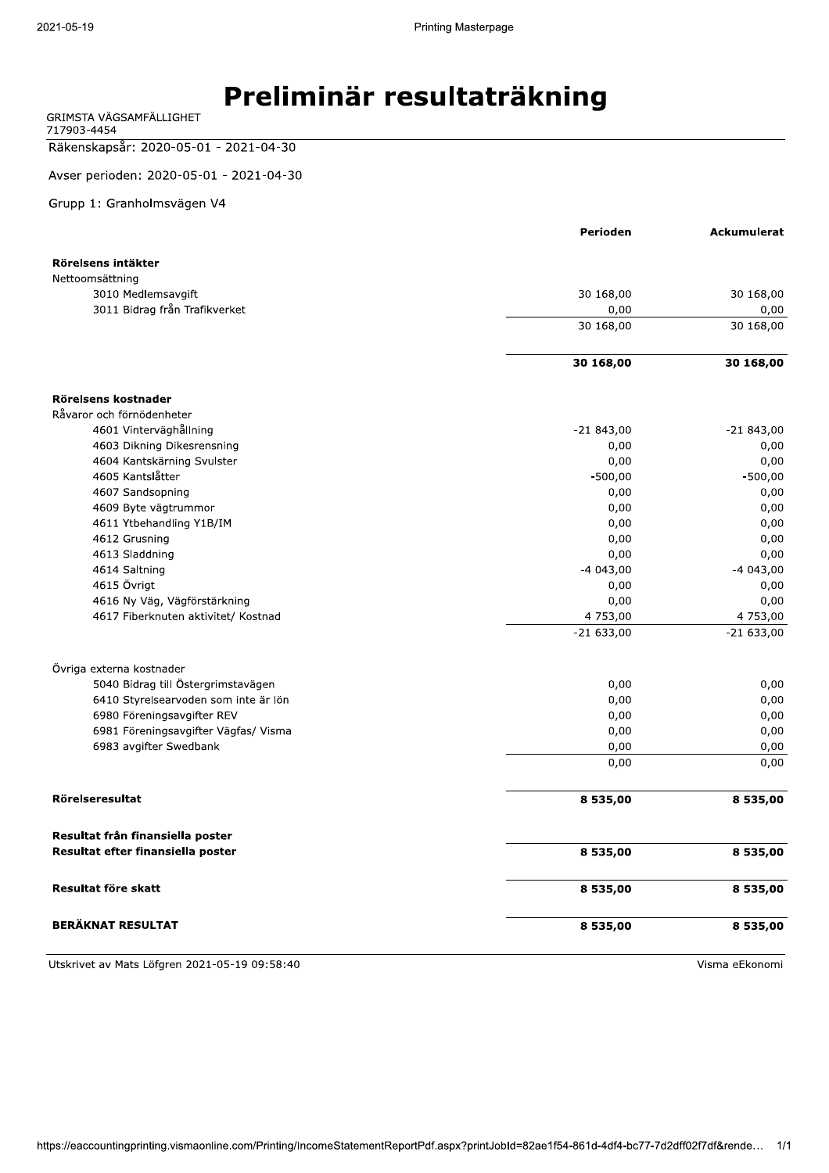| GRIMSTA VAGSAMFALLIGHET |  |
|-------------------------|--|
| 717903-4454             |  |

### Räkenskapsår: 2020-05-01 - 2021-04-30

Avser perioden: 2020-05-01 - 2021-04-30

#### Grupp 1: Granholmsvägen V4

|                                                     | Perioden    | <b>Ackumulerat</b> |
|-----------------------------------------------------|-------------|--------------------|
|                                                     |             |                    |
| Rörelsens intäkter                                  |             |                    |
| Nettoomsättning                                     |             |                    |
| 3010 Medlemsavgift<br>3011 Bidrag från Trafikverket | 30 168,00   | 30 168,00          |
|                                                     | 0,00        | 0,00               |
|                                                     | 30 168,00   | 30 168,00          |
|                                                     | 30 168,00   | 30 168,00          |
| Rörelsens kostnader                                 |             |                    |
| Råvaror och förnödenheter                           |             |                    |
| 4601 Vinterväghållning                              | $-21843,00$ | $-21843,00$        |
| 4603 Dikning Dikesrensning                          | 0,00        | 0,00               |
| 4604 Kantskärning Svulster                          | 0,00        | 0,00               |
| 4605 Kantslåtter                                    | $-500,00$   | $-500,00$          |
| 4607 Sandsopning                                    | 0,00        | 0,00               |
| 4609 Byte vägtrummor                                | 0,00        | 0,00               |
| 4611 Ytbehandling Y1B/IM                            | 0,00        | 0,00               |
| 4612 Grusning                                       | 0,00        | 0,00               |
| 4613 Sladdning                                      | 0,00        | 0,00               |
| 4614 Saltning                                       | $-4043,00$  | $-4043,00$         |
| 4615 Övrigt                                         | 0,00        | 0,00               |
| 4616 Ny Väg, Vägförstärkning                        | 0,00        | 0,00               |
| 4617 Fiberknuten aktivitet/ Kostnad                 | 4 753,00    | 4 753,00           |
|                                                     | $-21633,00$ | $-21633,00$        |
| Övriga externa kostnader                            |             |                    |
| 5040 Bidrag till Östergrimstavägen                  | 0,00        | 0,00               |
| 6410 Styrelsearvoden som inte är lön                | 0,00        | 0,00               |
| 6980 Föreningsavgifter REV                          | 0,00        | 0,00               |
| 6981 Föreningsavgifter Vägfas/ Visma                | 0,00        | 0,00               |
| 6983 avgifter Swedbank                              | 0,00        | 0,00               |
|                                                     | 0,00        | 0,00               |
| Rörelseresultat                                     |             |                    |
|                                                     | 8 535,00    | 8 535,00           |
| Resultat från finansiella poster                    |             |                    |
| Resultat efter finansiella poster                   | 8 535,00    | 8 535,00           |
| Resultat före skatt                                 | 8 535,00    | 8 535,00           |
| <b>BERÄKNAT RESULTAT</b>                            | 8 535,00    | 8 535,00           |

Utskrivet av Mats Löfgren 2021-05-19 09:58:40

Visma eEkonomi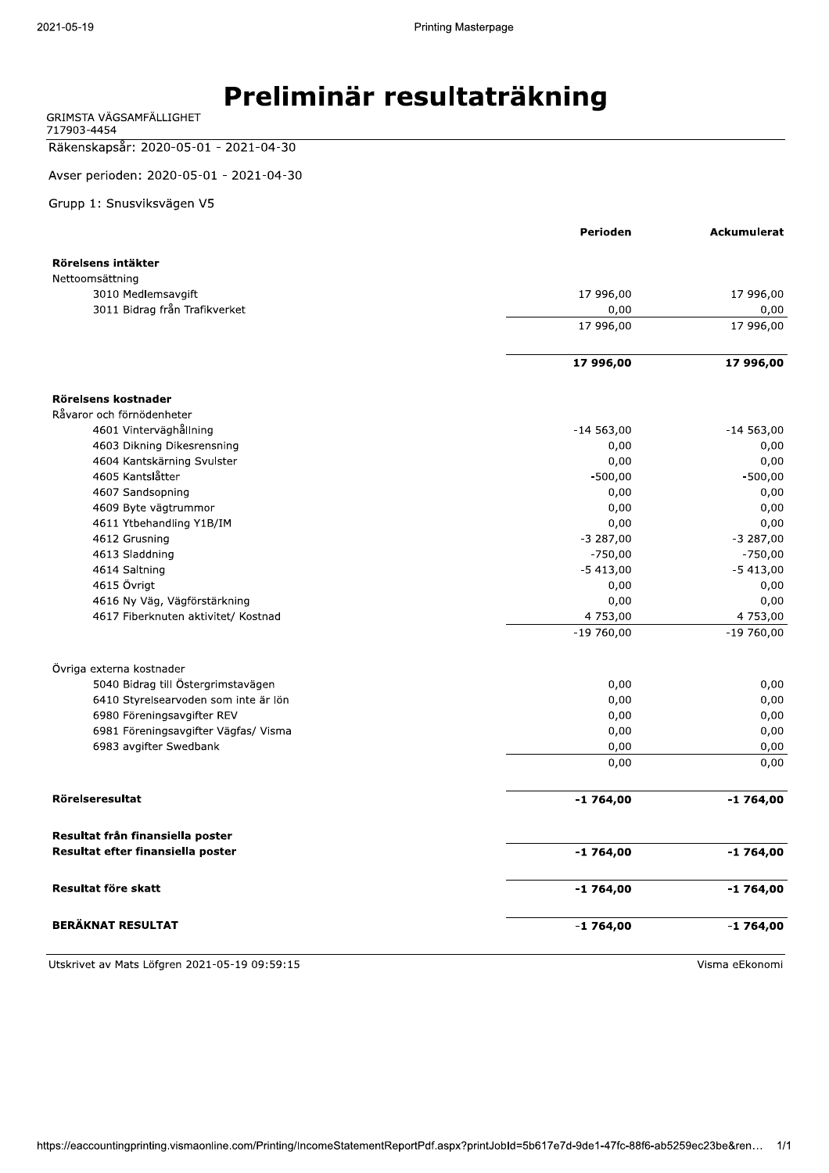| GRIMSTA VAGSAMFALLIGHET |  |
|-------------------------|--|
| 717903-4454             |  |

Räkenskapsår: 2020-05-01 - 2021-04-30

Avser perioden: 2020-05-01 - 2021-04-30

Grupp 1: Snusviksvägen V5

|                                       | Perioden    | <b>Ackumulerat</b> |
|---------------------------------------|-------------|--------------------|
|                                       |             |                    |
| Rörelsens intäkter                    |             |                    |
| Nettoomsättning<br>3010 Medlemsavgift | 17 996,00   | 17 996,00          |
| 3011 Bidrag från Trafikverket         | 0,00        | 0,00               |
|                                       | 17 996,00   | 17 996,00          |
|                                       |             |                    |
|                                       | 17 996,00   | 17 996,00          |
|                                       |             |                    |
| Rörelsens kostnader                   |             |                    |
| Råvaror och förnödenheter             |             |                    |
| 4601 Vinterväghållning                | $-14563,00$ | $-14563,00$        |
| 4603 Dikning Dikesrensning            | 0,00        | 0,00               |
| 4604 Kantskärning Svulster            | 0,00        | 0,00               |
| 4605 Kantslåtter                      | $-500,00$   | $-500,00$          |
| 4607 Sandsopning                      | 0,00        | 0,00               |
| 4609 Byte vägtrummor                  | 0,00        | 0,00               |
| 4611 Ytbehandling Y1B/IM              | 0,00        | 0,00               |
| 4612 Grusning                         | $-3287,00$  | $-3287,00$         |
| 4613 Sladdning                        | $-750,00$   | $-750,00$          |
| 4614 Saltning                         | $-5413,00$  | $-5413,00$         |
| 4615 Övrigt                           | 0,00        | 0,00               |
| 4616 Ny Väg, Vägförstärkning          | 0,00        | 0,00               |
| 4617 Fiberknuten aktivitet/ Kostnad   | 4 753,00    | 4 753,00           |
|                                       | $-19760,00$ | $-19760,00$        |
| Övriga externa kostnader              |             |                    |
| 5040 Bidrag till Östergrimstavägen    | 0,00        | 0,00               |
| 6410 Styrelsearvoden som inte är lön  | 0,00        | 0,00               |
| 6980 Föreningsavgifter REV            | 0,00        | 0,00               |
| 6981 Föreningsavgifter Vägfas/ Visma  | 0,00        | 0,00               |
| 6983 avgifter Swedbank                | 0,00        | 0,00               |
|                                       | 0,00        | 0,00               |
| <b>Rörelseresultat</b>                | $-1764,00$  | $-1764,00$         |
|                                       |             |                    |
| Resultat från finansiella poster      |             |                    |
| Resultat efter finansiella poster     | $-1764,00$  | $-1764,00$         |
| Resultat före skatt                   | $-1764,00$  | $-1764,00$         |
| <b>BERÄKNAT RESULTAT</b>              | $-1764,00$  | $-1764,00$         |

Utskrivet av Mats Löfgren 2021-05-19 09:59:15 and the state of the state of the Second Visma eEkonomi